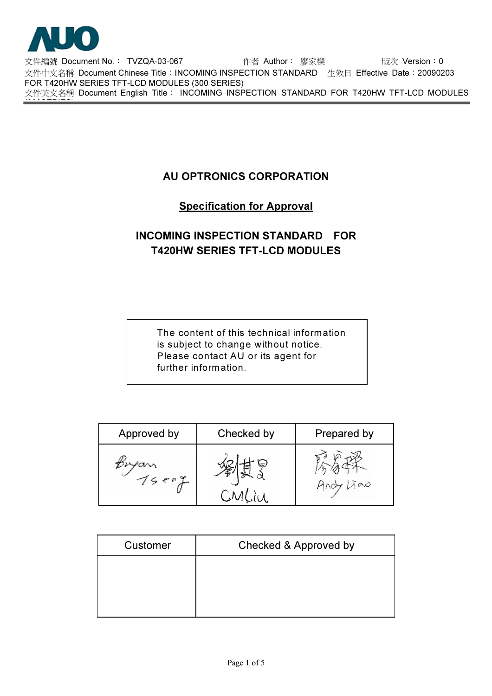

(300SERIES)

!"#\$ Document No.% TVZQA-03-067 &' Author% ()\* +, Version%0 文件中文名稱 Document Chinese Title:INCOMING INSPECTION STANDARD 生效日 Effective Date:20090203 FOR T420HW SERIES TFT-LCD MODULES (300 SERIES) 文件英文名稱 Document English Title: INCOMING INSPECTION STANDARD FOR T420HW TFT-LCD MODULES

## AU OPTRONICS CORPORATION

## Specification for Approval

# INCOMING INSPECTION STANDARD FOR T420HW SERIES TFT-LCD MODULES

The content of this technical information is subject to change without notice. Please contact AU or its agent for further information.

| Approved by | Checked by | Prepared by |
|-------------|------------|-------------|
| 7507        |            | Hndy Lino   |

| Customer | Checked & Approved by |
|----------|-----------------------|
|          |                       |
|          |                       |
|          |                       |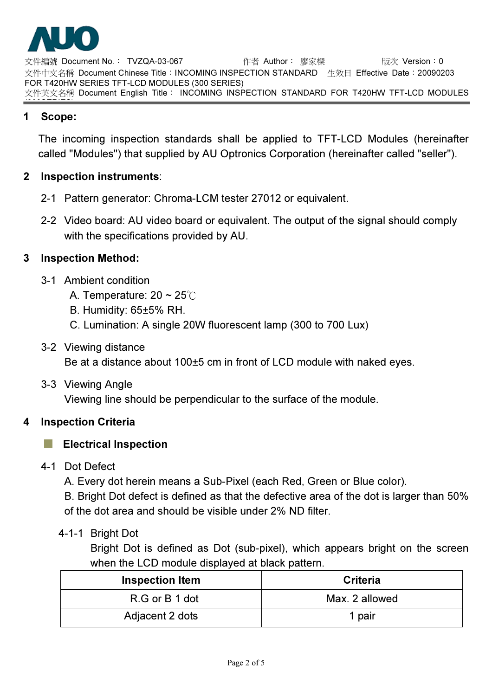

文件編號 Document No.: TVZQA-03-067 作者 Author: 廖家樑 版次 Version: 0 文件中文名稱 Document Chinese Title:INCOMING INSPECTION STANDARD 生效日 Effective Date:20090203 FOR T420HW SERIES TFT-LCD MODULES (300 SERIES) 文件英文名稱 Document English Title: INCOMING INSPECTION STANDARD FOR T420HW TFT-LCD MODULES

#### (300SERIES) 1 Scope:

The incoming inspection standards shall be applied to TFT-LCD Modules (hereinafter called "Modules") that supplied by AU Optronics Corporation (hereinafter called "seller").

## 2 Inspection instruments:

- 2-1 Pattern generator: Chroma-LCM tester 27012 or equivalent.
- 2-2 Video board: AU video board or equivalent. The output of the signal should comply with the specifications provided by AU.

## 3 Inspection Method:

- 3-1 Ambient condition
	- A. Temperature:  $20 \sim 25^{\circ}$
	- B. Humidity: 65±5% RH.
	- C. Lumination: A single 20W fluorescent lamp (300 to 700 Lux)

## 3-2 Viewing distance

Be at a distance about 100±5 cm in front of LCD module with naked eyes.

## 3-3 Viewing Angle

Viewing line should be perpendicular to the surface of the module.

## 4 Inspection Criteria

#### $\overline{\phantom{a}}$ Electrical Inspection

4-1 Dot Defect

A. Every dot herein means a Sub-Pixel (each Red, Green or Blue color).

B. Bright Dot defect is defined as that the defective area of the dot is larger than 50% of the dot area and should be visible under 2% ND filter.

4-1-1 Bright Dot

Bright Dot is defined as Dot (sub-pixel), which appears bright on the screen when the LCD module displayed at black pattern.

| <b>Inspection Item</b> | <b>Criteria</b> |
|------------------------|-----------------|
| R.G or B 1 dot         | Max. 2 allowed  |
| Adjacent 2 dots        | 1 pair          |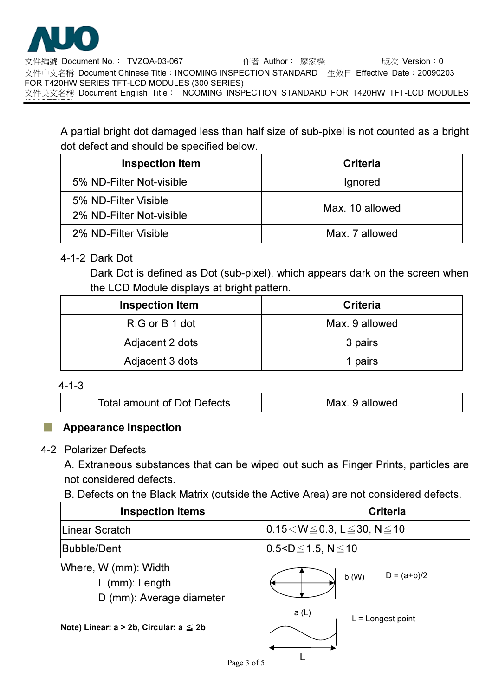

!"#\$ Document No.% TVZQA-03-067 &' Author% ()\* +, Version%0 文件中文名稱 Document Chinese Title:INCOMING INSPECTION STANDARD 生效日 Effective Date:20090203 FOR T420HW SERIES TFT-LCD MODULES (300 SERIES) 文件英文名稱 Document English Title: INCOMING INSPECTION STANDARD FOR T420HW TFT-LCD MODULES (300SERIES)

A partial bright dot damaged less than half size of sub-pixel is not counted as a bright dot defect and should be specified below.

| <b>Inspection Item</b>   | Criteria        |
|--------------------------|-----------------|
| 5% ND-Filter Not-visible | Ignored         |
| 5% ND-Filter Visible     | Max. 10 allowed |
| 2% ND-Filter Not-visible |                 |
| 2% ND-Filter Visible     | Max. 7 allowed  |

## 4-1-2 Dark Dot

Dark Dot is defined as Dot (sub-pixel), which appears dark on the screen when the LCD Module displays at bright pattern.

| <b>Inspection Item</b> | Criteria       |
|------------------------|----------------|
| R.G or B 1 dot         | Max. 9 allowed |
| Adjacent 2 dots        | 3 pairs        |
| Adjacent 3 dots        | 1 pairs        |

#### 4-1-3

| <b>Total amount of Dot Defects</b><br>Max. 9 allowed |
|------------------------------------------------------|
|------------------------------------------------------|

## Appearance Inspection

#### 4-2 Polarizer Defects

A. Extraneous substances that can be wiped out such as Finger Prints, particles are not considered defects.

## B. Defects on the Black Matrix (outside the Active Area) are not considered defects.

| <b>Inspection Items</b>                 | <b>Criteria</b>                                       |
|-----------------------------------------|-------------------------------------------------------|
| Linear Scratch                          | $ 0.15\!<\!W\!\leq\!0.3, L\!\leq\!30, N\!\leq\!10$    |
| Bubble/Dent                             | $ 0.5$ <d<math>\leq1.5, N<math>\leq</math>10</d<math> |
| <b>AD</b><br>,,, <i>,</i><br>. <i>.</i> |                                                       |

Where, W (mm): Width

L (mm): Length

D (mm): Average diameter

|       | b(W) | $D = (a+b)/2$    |
|-------|------|------------------|
| a (L) |      | $-$ Longet point |

Note) Linear:  $a > 2b$ , Circular:  $a \leq 2b$ 

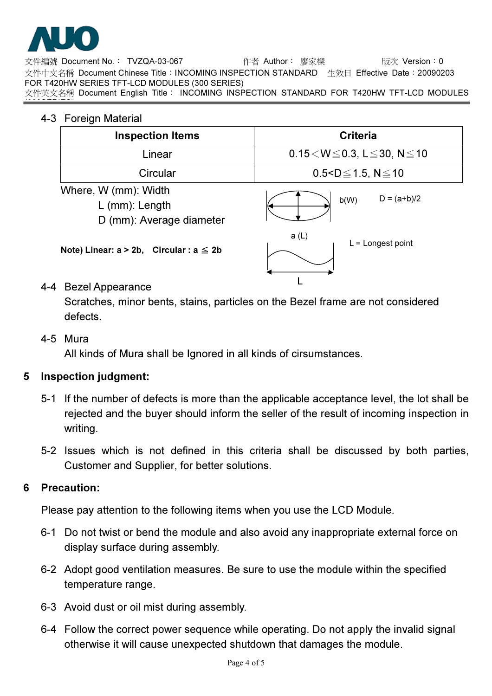

(300SERIES)

文件編號 Document No.: TVZQA-03-067 作者 Author: 廖家樑 版次 Version: 0 文件中文名稱 Document Chinese Title:INCOMING INSPECTION STANDARD 生效日 Effective Date:20090203 FOR T420HW SERIES TFT-LCD MODULES (300 SERIES) 文件英文名稱 Document English Title: INCOMING INSPECTION STANDARD FOR T420HW TFT-LCD MODULES

## 4-3 Foreign Material

| <b>Inspection Items</b>                                              | <b>Criteria</b>                                       |
|----------------------------------------------------------------------|-------------------------------------------------------|
| Linear                                                               | $0.15\!<\!W\!\leq\!0.3$ , L $\leq\!30$ , N $\leq\!10$ |
| Circular                                                             | $0.5 < D \le 1.5$ , N $\le 10$                        |
| Where, W (mm): Width<br>$L$ (mm): Length<br>D (mm): Average diameter | $D = (a+b)/2$<br>b(W)                                 |
| Note) Linear: $a > 2b$ , Circular: $a \leq 2b$                       | a(L)<br>$L =$ Longest point                           |
| n._<br>- 1                                                           |                                                       |

## 4-4 Bezel Appearance

Scratches, minor bents, stains, particles on the Bezel frame are not considered defects.

#### 4-5 Mura

All kinds of Mura shall be Ignored in all kinds of cirsumstances.

## 5 Inspection judgment:

- 5-1 If the number of defects is more than the applicable acceptance level, the lot shall be rejected and the buyer should inform the seller of the result of incoming inspection in writing.
- 5-2 Issues which is not defined in this criteria shall be discussed by both parties, Customer and Supplier, for better solutions.

## 6 Precaution:

Please pay attention to the following items when you use the LCD Module.

- 6-1 Do not twist or bend the module and also avoid any inappropriate external force on display surface during assembly.
- 6-2 Adopt good ventilation measures. Be sure to use the module within the specified temperature range.
- 6-3 Avoid dust or oil mist during assembly.
- 6-4 Follow the correct power sequence while operating. Do not apply the invalid signal otherwise it will cause unexpected shutdown that damages the module.